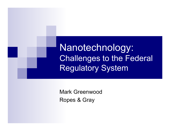Nanotechnology: Challenges to the Federal Regulatory System

Mark GreenwoodRopes & Gray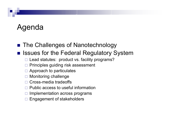# Agenda

#### ■ The Challenges of Nanotechnology

#### **Regulatory System** Issues for the Federal Regulatory System

- $\square$  Lead statutes: product vs. facility programs?
- $\Box$ Principles guiding risk assessment
- $\Box$  Approach to particulates
- $\Box$ Monitoring challenge
- $\Box$ Cross-media tradeoffs
- $\Box$ Public access to useful information
- $\Box$ Implementation across programs
- □ Engagement of stakeholders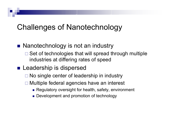## Challenges of Nanotechnology

#### ■ Nanotechnology is not an industry

 $\Box$  Set of technologies that will spread through multiple industries at differing rates of speed

#### **Leadership is dispersed**

- □ No single center of leadership in industry
- □ Multiple federal agencies have an interest
	- Regulatory oversight for health, safety, environment
	- Development and promotion of technology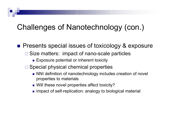# Challenges of Nanotechnology (con.)

**Presents special issues of toxicology & exposure** 

- $\Box$  Size matters: impact of nano-scale particles
	- Exposure potential or inherent toxicity
- □ Special physical chemical properties
	- NNI definition of nanotechnology includes creation of novel properties to materials
	- Will these novel properties affect toxicity?
	- Impact of self-replication: analogy to biological material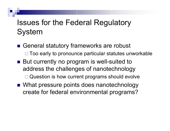# Issues for the Federal Regulatory System

- General statutory frameworks are robust □ Too early to pronounce particular statutes unworkable
- But currently no program is well-suited to address the challenges of nanotechnology □ Question is how current programs should evolve
- What pressure points does nanotechnology create for federal environmental programs?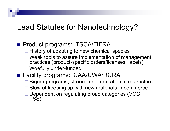### Lead Statutes for Nanotechnology?

#### **Product programs: TSCA/FIFRA**

- □ History of adapting to new chemical species
- □ Weak tools to assure implementation of management practices (product-specific orders/licenses; labels) □ Woefully under-funded
- Facility programs: CAA/CWA/RCRA
	- □ Bigger programs; strong implementation infrastructure
	- □ Slow at keeping up with new materials in commerce
	- □ Dependent on regulating broad categories (VOC, TSS)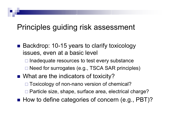### Principles guiding risk assessment

- Backdrop: 10-15 years to clarify toxicology issues, even at a basic level
	- $\Box$  Inadequate resources to test every substance □ Need for surrogates (e.g., TSCA SAR principles)
- What are the indicators of toxicity?
	- □ Toxicology of non-nano version of chemical?
	- □ Particle size, shape, surface area, electrical charge?
- How to define categories of concern (e.g., PBT)?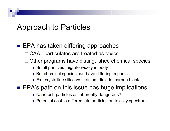### Approach to Particles

- EPA has taken differing approaches
	- □ CAA: particulates are treated as toxics
	- □ Other programs have distinguished chemical species
		- Small particles migrate widely in body
		- But chemical species can have differing impacts
		- Ex: crystalline silica vs. titanium dioxide, carbon black
- EPA's path on this issue has huge implications
	- Nanotech particles as inherently dangerous?
	- Potential cost to differentiate particles on toxicity spectrum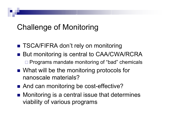# Challenge of Monitoring

- TSCA/FIFRA don't rely on monitoring
- But monitoring is central to CAA/CWA/RCRA □ Programs mandate monitoring of "bad" chemicals
- What will be the monitoring protocols for nanoscale materials?
- And can monitoring be cost-effective?
- Monitoring is a central issue that determines viability of various programs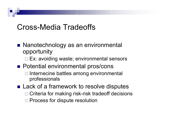### Cross-Media Tradeoffs

- Nanotechnology as an environmental opportunity
	- □ Ex: avoiding waste; environmental sensors
- **Potential environmental pros/cons** 
	- **□ Internecine battles among environmental** professionals

■ Lack of a framework to resolve disputes □ Criteria for making risk-risk tradeoff decisions □ Process for dispute resolution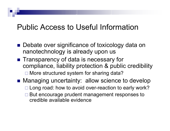### Public Access to Useful Information

- Debate over significance of toxicology data on nanotechnology is already upon us
- Transparency of data is necessary for compliance, liability protection & public credibility □ More structured system for sharing data?
- Managing uncertainty: allow science to develop □ Long road: how to avoid over-reaction to early work?
	- **□ But encourage prudent management responses to** credible available evidence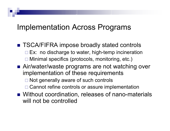### Implementation Across Programs

- TSCA/FIFRA impose broadly stated controls □ Ex: no discharge to water, high-temp incineration Minimal specifics (protocols, monitoring, etc.)
- Air/water/waste programs are not watching over implementation of these requirements
	- □ Not generally aware of such controls
	- □ Cannot refine controls or assure implementation
- Without coordination, releases of nano-materials will not be controlled